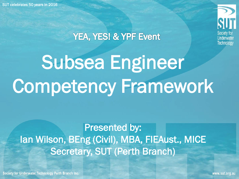

#### YEA, YES! & YPF Event

# Subsea Engineer Competency Framework

Presented by: Ian Wilson, BEng (Civil), MBA, FIEAust., MICE Secretary, SUT (Perth Branch)

Society for Underwater Technology Perth Branch Inc.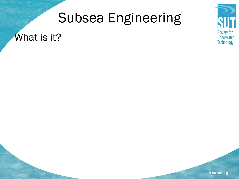#### What is it?

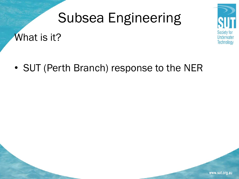What is it?



• SUT (Perth Branch) response to the NER

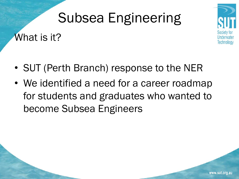What is it?



- SUT (Perth Branch) response to the NER
- We identified a need for a career roadmap for students and graduates who wanted to become Subsea Engineers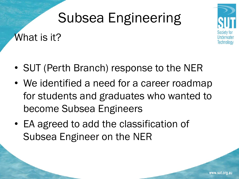What is it?



- SUT (Perth Branch) response to the NER
- We identified a need for a career roadmap for students and graduates who wanted to become Subsea Engineers
- EA agreed to add the classification of Subsea Engineer on the NER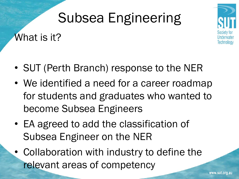What is it?



- SUT (Perth Branch) response to the NER
- We identified a need for a career roadmap for students and graduates who wanted to become Subsea Engineers
- EA agreed to add the classification of Subsea Engineer on the NER
- Collaboration with industry to define the relevant areas of competency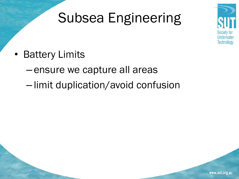

- Battery Limits
	- ensure we capture all areas
	- limit duplication/avoid confusion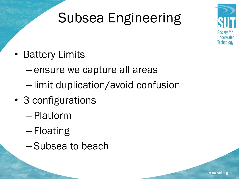

- Battery Limits
	- ensure we capture all areas
	- limit duplication/avoid confusion
- 3 configurations
	- Platform
	- Floating
	- Subsea to beach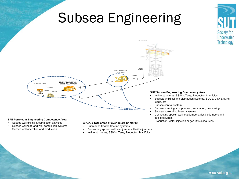

#### **SPE Petroleum Engineering Competency Area:**

- Subsea well drilling & completion activities
- Subsea wellhead and well completion systems
- Subsea well operation and production

#### **APGA & SUT areas of overlap are primarily:**

- Submarine flexible flowline systems
- Connecting spools, wellhead jumpers, flexible jumpers
- In-line structures, SSIV's, Tees, Production Manifolds

#### www.sut.org.au

• Production, water injection or gas lift subsea trees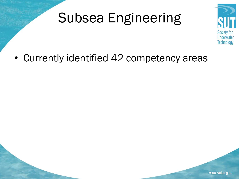

• Currently identified 42 competency areas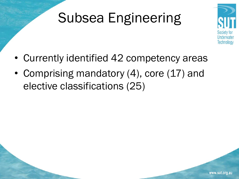

- Currently identified 42 competency areas
- Comprising mandatory (4), core (17) and elective classifications (25)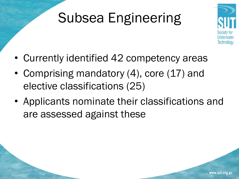

- Currently identified 42 competency areas
- Comprising mandatory (4), core (17) and elective classifications (25)
- Applicants nominate their classifications and are assessed against these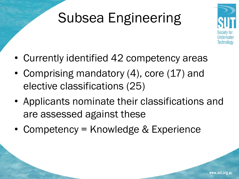

- Currently identified 42 competency areas
- Comprising mandatory (4), core (17) and elective classifications (25)
- Applicants nominate their classifications and are assessed against these
- Competency = Knowledge & Experience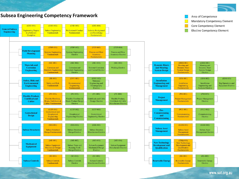

**Subsea Engineering Competency Framework**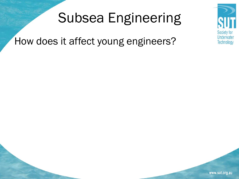How does it affect young engineers?

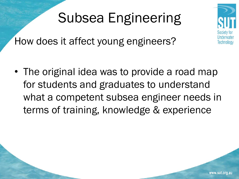How does it affect young engineers?

• The original idea was to provide a road map for students and graduates to understand what a competent subsea engineer needs in terms of training, knowledge & experience

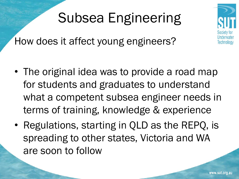How does it affect young engineers?

- The original idea was to provide a road map for students and graduates to understand what a competent subsea engineer needs in terms of training, knowledge & experience
- Regulations, starting in QLD as the REPQ, is spreading to other states, Victoria and WA are soon to follow

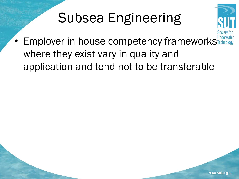

• Employer in-house competency frameworks Techno where they exist vary in quality and application and tend not to be transferable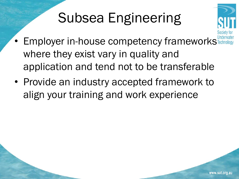

- Employer in-house competency frameworks where they exist vary in quality and application and tend not to be transferable
- Provide an industry accepted framework to align your training and work experience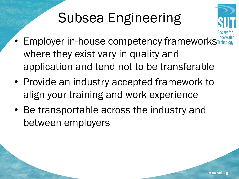

- Employer in-house competency frameworks where they exist vary in quality and application and tend not to be transferable
- Provide an industry accepted framework to align your training and work experience
- Be transportable across the industry and between employers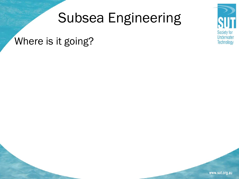#### Where is it going?

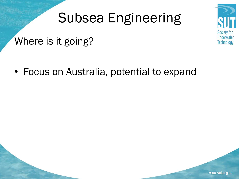

Where is it going?

• Focus on Australia, potential to expand

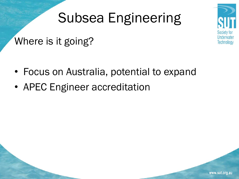#### Where is it going?

- Focus on Australia, potential to expand
- APEC Engineer accreditation





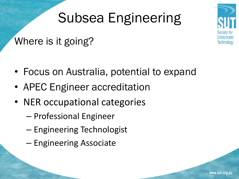#### Where is it going?

- Focus on Australia, potential to expand
- APEC Engineer accreditation
- NER occupational categories
	- Professional Engineer
	- Engineering Technologist
	- Engineering Associate

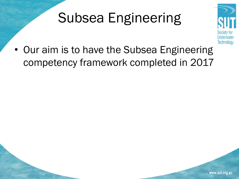

• Our aim is to have the Subsea Engineering competency framework completed in 2017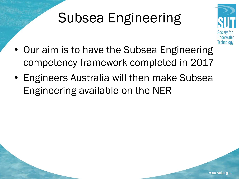

- Our aim is to have the Subsea Engineering competency framework completed in 2017
- Engineers Australia will then make Subsea Engineering available on the NER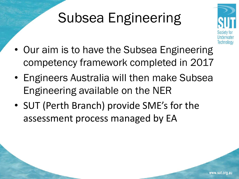

- Our aim is to have the Subsea Engineering competency framework completed in 2017
- Engineers Australia will then make Subsea Engineering available on the NER
- SUT (Perth Branch) provide SME's for the assessment process managed by EA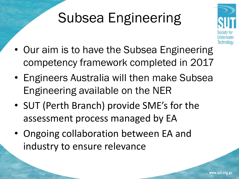

- Our aim is to have the Subsea Engineering competency framework completed in 2017
- Engineers Australia will then make Subsea Engineering available on the NER
- SUT (Perth Branch) provide SME's for the assessment process managed by EA
- Ongoing collaboration between EA and industry to ensure relevance